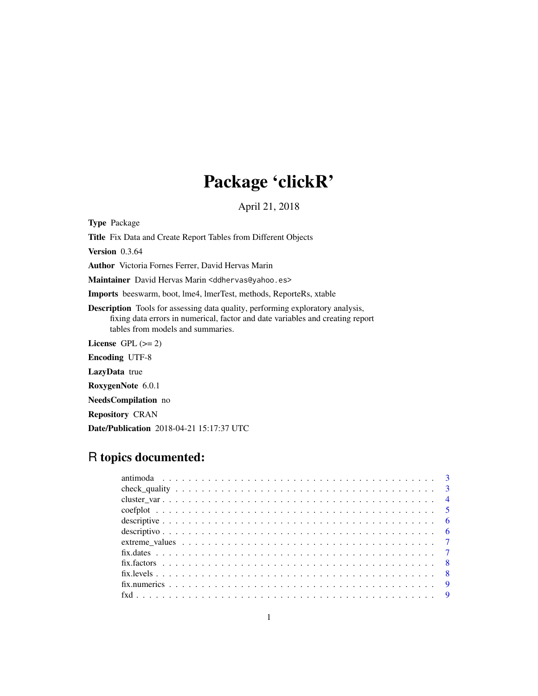# Package 'clickR'

April 21, 2018

Type Package

Title Fix Data and Create Report Tables from Different Objects

Version 0.3.64

Author Victoria Fornes Ferrer, David Hervas Marin

Maintainer David Hervas Marin <ddhervas@yahoo.es>

Imports beeswarm, boot, lme4, lmerTest, methods, ReporteRs, xtable

Description Tools for assessing data quality, performing exploratory analysis, fixing data errors in numerical, factor and date variables and creating report tables from models and summaries.

License GPL  $(>= 2)$ 

Encoding UTF-8

LazyData true

RoxygenNote 6.0.1

NeedsCompilation no

Repository CRAN

Date/Publication 2018-04-21 15:17:37 UTC

## R topics documented: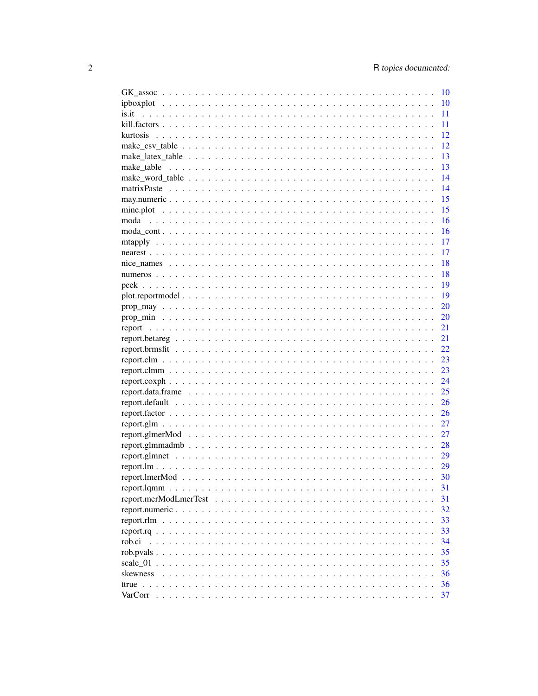|                                                                                                                         | 10 |
|-------------------------------------------------------------------------------------------------------------------------|----|
|                                                                                                                         | 10 |
| is it                                                                                                                   | 11 |
|                                                                                                                         | 11 |
|                                                                                                                         | 12 |
|                                                                                                                         | 12 |
|                                                                                                                         | 13 |
| make table                                                                                                              | 13 |
|                                                                                                                         | 14 |
|                                                                                                                         | 14 |
|                                                                                                                         | 15 |
|                                                                                                                         | 15 |
| moda                                                                                                                    | 16 |
|                                                                                                                         | 16 |
|                                                                                                                         | 17 |
|                                                                                                                         | 17 |
|                                                                                                                         | 18 |
|                                                                                                                         | 18 |
|                                                                                                                         | 19 |
|                                                                                                                         | 19 |
| $prop\_may \dots \dots \dots \dots \dots \dots \dots \dots \dots \dots \dots \dots \dots \dots \dots \dots \dots \dots$ | 20 |
|                                                                                                                         | 20 |
|                                                                                                                         | 21 |
|                                                                                                                         | 21 |
|                                                                                                                         | 22 |
|                                                                                                                         | 23 |
|                                                                                                                         | 23 |
|                                                                                                                         | 24 |
|                                                                                                                         | 25 |
|                                                                                                                         | 26 |
|                                                                                                                         | 26 |
|                                                                                                                         | 27 |
|                                                                                                                         | 27 |
|                                                                                                                         | 28 |
|                                                                                                                         | 29 |
|                                                                                                                         | 29 |
|                                                                                                                         | 30 |
|                                                                                                                         | 31 |
| report.merModLmerTest<br>$\ddot{\phantom{0}}$<br>$\ddot{\phantom{0}}$<br>$\ddots$                                       | 31 |
|                                                                                                                         | 32 |
|                                                                                                                         | 33 |
|                                                                                                                         | 33 |
| rob.ci                                                                                                                  | 34 |
| rob.pvals                                                                                                               | 35 |
| scale $01$ .                                                                                                            | 35 |
| skewness                                                                                                                | 36 |
|                                                                                                                         | 36 |
| VarCorr                                                                                                                 | 37 |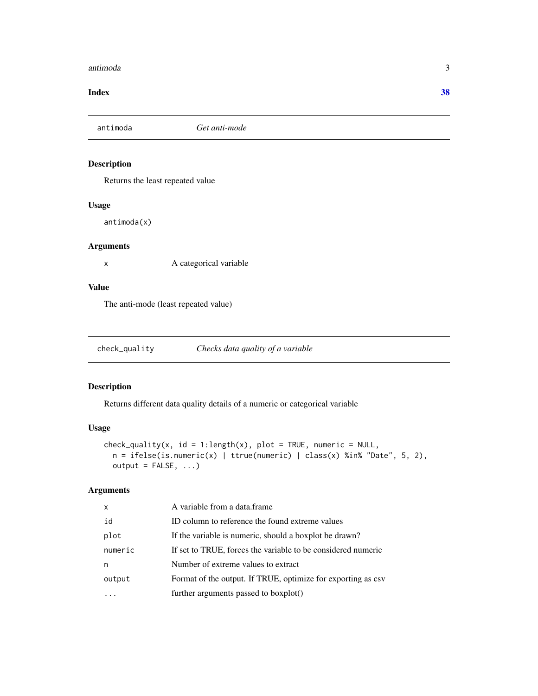#### <span id="page-2-0"></span>antimoda 3

#### **Index** [38](#page-37-0)

antimoda *Get anti-mode*

## Description

Returns the least repeated value

#### Usage

antimoda(x)

## Arguments

x A categorical variable

## Value

The anti-mode (least repeated value)

check\_quality *Checks data quality of a variable*

## Description

Returns different data quality details of a numeric or categorical variable

#### Usage

```
check_quantity(x, id = 1:length(x), plot = TRUE, numeric = NULL,n = ifelse(is.numeric(x) | true(numeric) | class(x) % in% "Date", 5, 2),output = FALSE, ...)
```

| $\mathsf{x}$ | A variable from a data.frame                                 |
|--------------|--------------------------------------------------------------|
| id           | ID column to reference the found extreme values              |
| plot         | If the variable is numeric, should a boxplot be drawn?       |
| numeric      | If set to TRUE, forces the variable to be considered numeric |
| n            | Number of extreme values to extract                          |
| output       | Format of the output. If TRUE, optimize for exporting as csv |
|              | further arguments passed to boxplot()                        |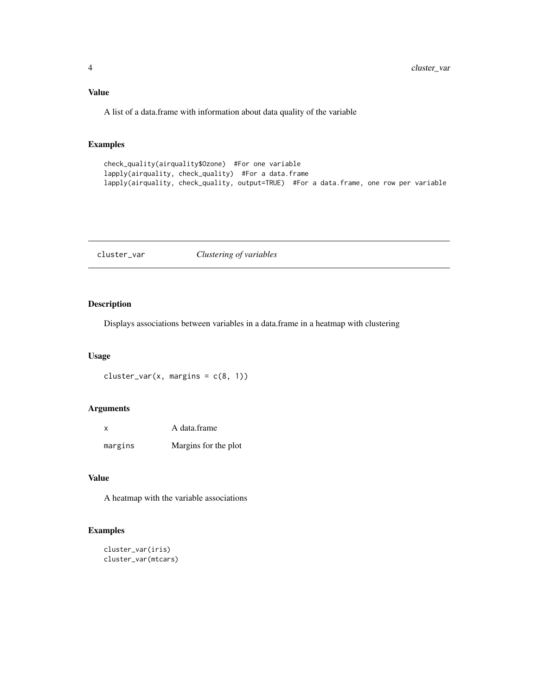<span id="page-3-0"></span>A list of a data.frame with information about data quality of the variable

## Examples

```
check_quality(airquality$Ozone) #For one variable
lapply(airquality, check_quality) #For a data.frame
lapply(airquality, check_quality, output=TRUE) #For a data.frame, one row per variable
```
cluster\_var *Clustering of variables*

## Description

Displays associations between variables in a data.frame in a heatmap with clustering

#### Usage

 $cluster\_var(x, margins = c(8, 1))$ 

#### Arguments

| x       | A data.frame         |
|---------|----------------------|
| margins | Margins for the plot |

#### Value

A heatmap with the variable associations

## Examples

```
cluster_var(iris)
cluster_var(mtcars)
```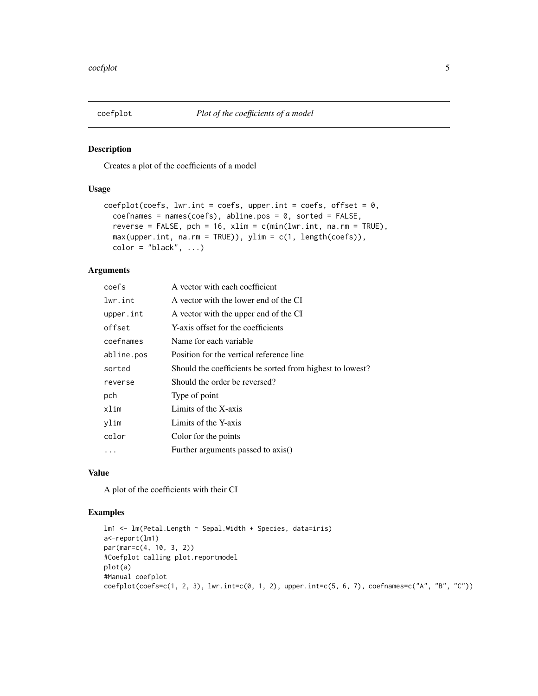<span id="page-4-0"></span>

Creates a plot of the coefficients of a model

## Usage

```
coefplot(coeffs, lw.r.int = coefs, upper.int = coefs, offset = 0,coefnames = names(coeffs), abline.pos = 0, sorted = FALSE,reverse = FALSE, pch = 16, xlim = c(min(lwr.int, na.rm = TRUE),max(upper.int, na.rm = TRUE)), ylim = c(1, length(coefs)),
  color = "black", ...)
```
## Arguments

| coefs      | A vector with each coefficient                            |
|------------|-----------------------------------------------------------|
| lwr.int    | A vector with the lower end of the CI                     |
| upper.int  | A vector with the upper end of the CI                     |
| offset     | Y-axis offset for the coefficients                        |
| coefnames  | Name for each variable                                    |
| abline.pos | Position for the vertical reference line                  |
| sorted     | Should the coefficients be sorted from highest to lowest? |
| reverse    | Should the order be reversed?                             |
| pch        | Type of point                                             |
| xlim       | Limits of the X-axis                                      |
| ylim       | Limits of the Y-axis                                      |
| color      | Color for the points                                      |
|            | Further arguments passed to axis()                        |
|            |                                                           |

## Value

A plot of the coefficients with their CI

#### Examples

```
lm1 <- lm(Petal.Length ~ Sepal.Width + Species, data=iris)
a<-report(lm1)
par(mar=c(4, 10, 3, 2))
#Coefplot calling plot.reportmodel
plot(a)
#Manual coefplot
coefflot(coeffs=c(1, 2, 3), lw.int=c(0, 1, 2), upper.int=c(5, 6, 7), coefnames=c("A", "B", "C"))
```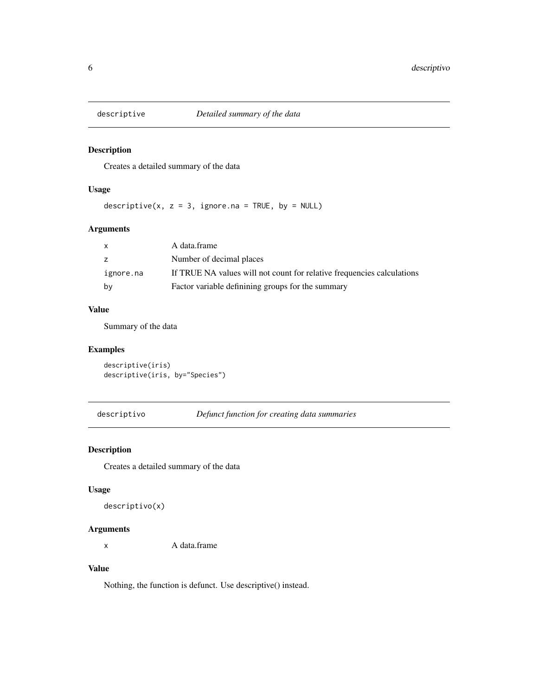<span id="page-5-0"></span>

Creates a detailed summary of the data

## Usage

descriptive(x,  $z = 3$ , ignore.na = TRUE, by = NULL)

## Arguments

| $\mathsf{x}$ | A data.frame                                                           |
|--------------|------------------------------------------------------------------------|
| z            | Number of decimal places                                               |
| ignore.na    | If TRUE NA values will not count for relative frequencies calculations |
| by           | Factor variable definining groups for the summary                      |

## Value

Summary of the data

## Examples

descriptive(iris) descriptive(iris, by="Species")

descriptivo *Defunct function for creating data summaries*

## Description

Creates a detailed summary of the data

## Usage

```
descriptivo(x)
```
## Arguments

x A data.frame

#### Value

Nothing, the function is defunct. Use descriptive() instead.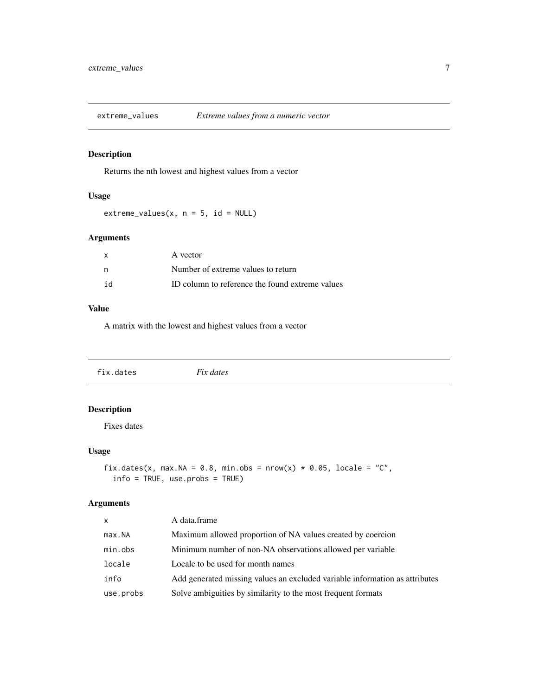<span id="page-6-0"></span>

Returns the nth lowest and highest values from a vector

#### Usage

 $extreme_values(x, n = 5, id = NULL)$ 

## Arguments

| $\mathsf{x}$ | A vector                                        |
|--------------|-------------------------------------------------|
| n            | Number of extreme values to return              |
| id           | ID column to reference the found extreme values |

#### Value

A matrix with the lowest and highest values from a vector

| $\sim\cdot$<br>$\sim$ $\sim$<br>a dares i<br><b>IN.</b><br>ີ |  |  |  |  |
|--------------------------------------------------------------|--|--|--|--|
|--------------------------------------------------------------|--|--|--|--|

## Description

Fixes dates

#### Usage

```
fix.dates(x, max.NA = 0.8, min.obs = nrow(x) * 0.05, locale = "C",
  info = TRUE, use.probs = TRUE)
```

| $\times$  | A data.frame                                                                |
|-----------|-----------------------------------------------------------------------------|
| max.NA    | Maximum allowed proportion of NA values created by coercion                 |
| min.obs   | Minimum number of non-NA observations allowed per variable                  |
| locale    | Locale to be used for month names                                           |
| info      | Add generated missing values an excluded variable information as attributes |
| use.probs | Solve ambiguities by similarity to the most frequent formats                |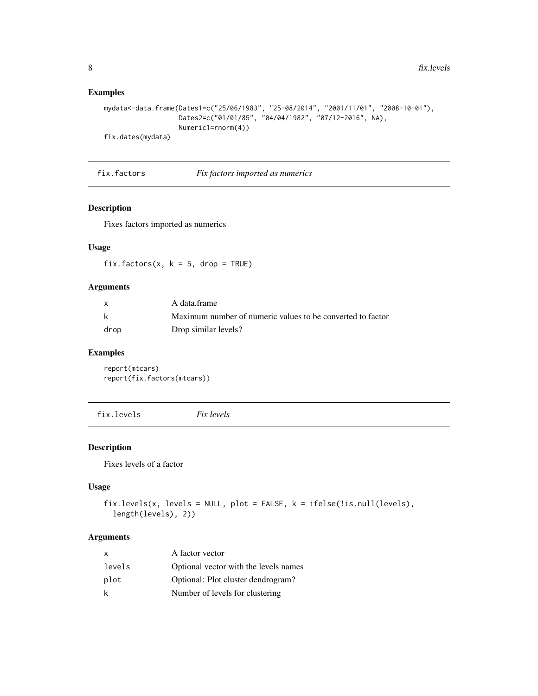## Examples

```
mydata<-data.frame(Dates1=c("25/06/1983", "25-08/2014", "2001/11/01", "2008-10-01"),
                   Dates2=c("01/01/85", "04/04/1982", "07/12-2016", NA),
                   Numeric1=rnorm(4))
fix.dates(mydata)
```
fix.factors *Fix factors imported as numerics*

### Description

Fixes factors imported as numerics

## Usage

fix.factors(x,  $k = 5$ , drop = TRUE)

## Arguments

|      | A data.frame                                               |
|------|------------------------------------------------------------|
| k    | Maximum number of numeric values to be converted to factor |
| drop | Drop similar levels?                                       |

#### Examples

report(mtcars) report(fix.factors(mtcars))

fix.levels *Fix levels*

#### Description

Fixes levels of a factor

#### Usage

```
fix.levels(x, levels = NULL, plot = FALSE, k = ifelse(!is.null(levels),
  length(levels), 2))
```

| x      | A factor vector                       |
|--------|---------------------------------------|
| levels | Optional vector with the levels names |
| plot   | Optional: Plot cluster dendrogram?    |
| k      | Number of levels for clustering       |

<span id="page-7-0"></span>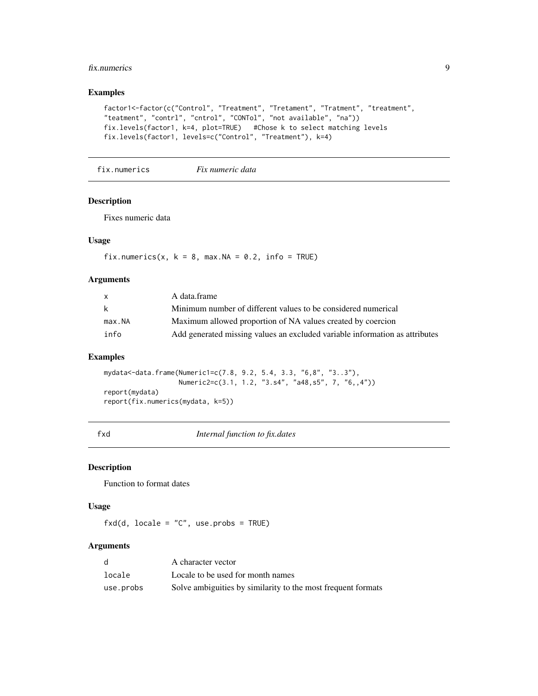#### <span id="page-8-0"></span>fix.numerics 9

## Examples

```
factor1<-factor(c("Control", "Treatment", "Tretament", "Tratment", "treatment",
"teatment", "contrl", "cntrol", "CONTol", "not available", "na"))
fix.levels(factor1, k=4, plot=TRUE) #Chose k to select matching levels
fix.levels(factor1, levels=c("Control", "Treatment"), k=4)
```
fix.numerics *Fix numeric data*

#### Description

Fixes numeric data

## Usage

fix.numerics(x,  $k = 8$ , max.NA = 0.2, info = TRUE)

#### Arguments

| $\mathsf{x}$ | A data.frame                                                                |
|--------------|-----------------------------------------------------------------------------|
| k            | Minimum number of different values to be considered numerical               |
| max.NA       | Maximum allowed proportion of NA values created by coercion                 |
| info         | Add generated missing values an excluded variable information as attributes |

#### Examples

mydata<-data.frame(Numeric1=c(7.8, 9.2, 5.4, 3.3, "6,8", "3..3"), Numeric2=c(3.1, 1.2, "3.s4", "a48,s5", 7, "6,,4")) report(mydata) report(fix.numerics(mydata, k=5))

fxd *Internal function to fix.dates*

#### Description

Function to format dates

## Usage

 $fxd(d, locale = "C", use.probs = TRUE)$ 

|           | A character vector                                           |
|-----------|--------------------------------------------------------------|
| locale    | Locale to be used for month names                            |
| use.probs | Solve ambiguities by similarity to the most frequent formats |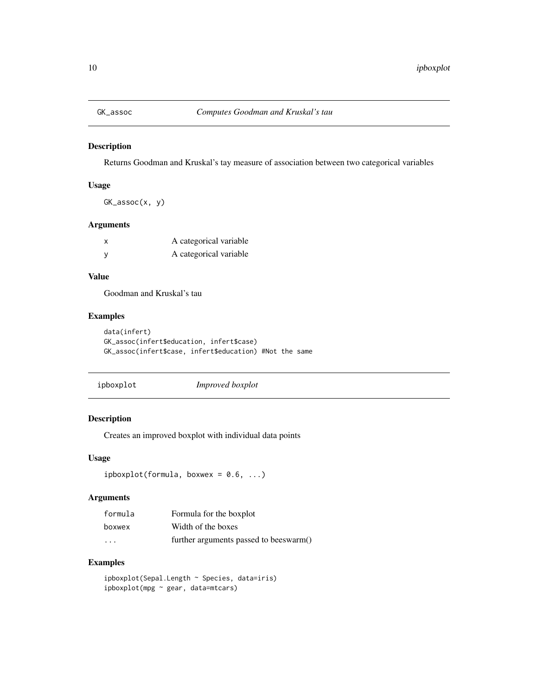<span id="page-9-0"></span>

Returns Goodman and Kruskal's tay measure of association between two categorical variables

#### Usage

GK\_assoc(x, y)

#### Arguments

| X            | A categorical variable |
|--------------|------------------------|
| <sub>V</sub> | A categorical variable |

## Value

Goodman and Kruskal's tau

## Examples

```
data(infert)
GK_assoc(infert$education, infert$case)
GK_assoc(infert$case, infert$education) #Not the same
```
ipboxplot *Improved boxplot*

## Description

Creates an improved boxplot with individual data points

#### Usage

```
ipboxplot(formula, boxwex = 0.6, ...)
```
## Arguments

| formula                 | Formula for the boxplot                |
|-------------------------|----------------------------------------|
| boxwex                  | Width of the boxes                     |
| $\cdot$ $\cdot$ $\cdot$ | further arguments passed to beeswarm() |

## Examples

ipboxplot(Sepal.Length ~ Species, data=iris) ipboxplot(mpg ~ gear, data=mtcars)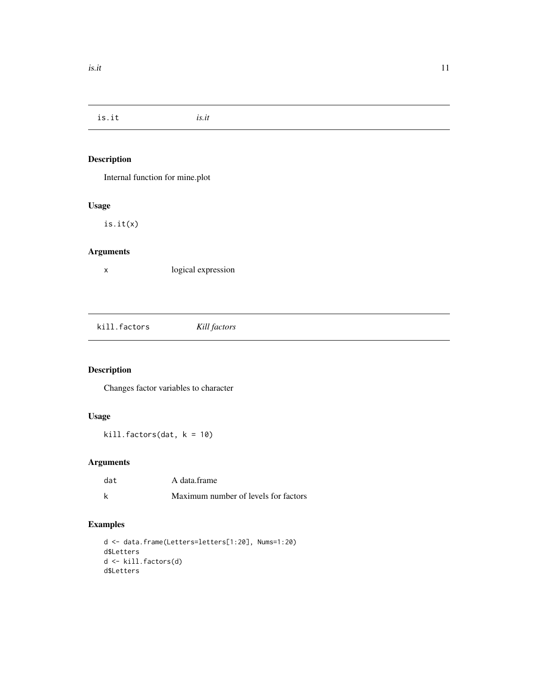<span id="page-10-0"></span>is.it *is.it*

## Description

Internal function for mine.plot

## Usage

is.it(x)

## Arguments

x logical expression

kill.factors *Kill factors*

## Description

Changes factor variables to character

## Usage

kill.factors(dat, k = 10)

## Arguments

| dat | A data.frame                         |
|-----|--------------------------------------|
| k   | Maximum number of levels for factors |

## Examples

```
d <- data.frame(Letters=letters[1:20], Nums=1:20)
d$Letters
d <- kill.factors(d)
d$Letters
```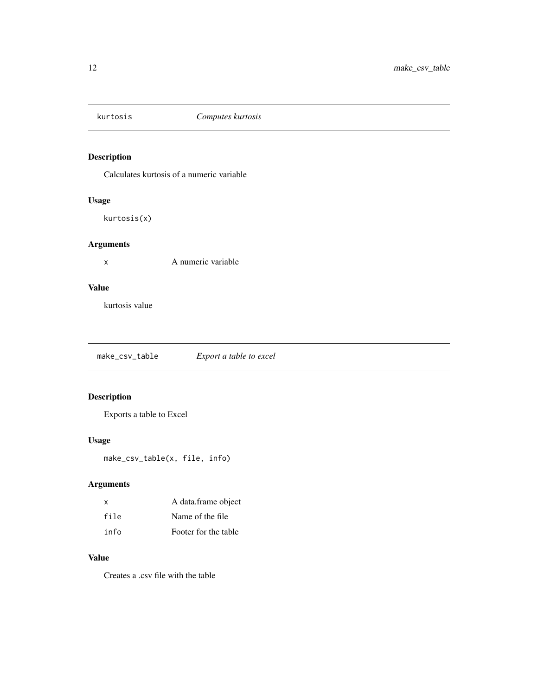<span id="page-11-0"></span>

Calculates kurtosis of a numeric variable

## Usage

kurtosis(x)

## Arguments

x A numeric variable

## Value

kurtosis value

make\_csv\_table *Export a table to excel*

## Description

Exports a table to Excel

## Usage

make\_csv\_table(x, file, info)

## Arguments

| X    | A data.frame object  |
|------|----------------------|
| file | Name of the file     |
| info | Footer for the table |

## Value

Creates a .csv file with the table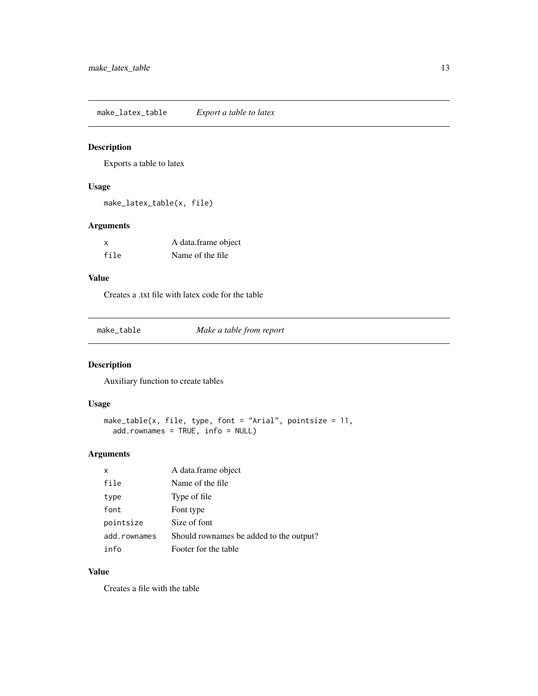<span id="page-12-0"></span>make\_latex\_table *Export a table to latex*

## Description

Exports a table to latex

## Usage

make\_latex\_table(x, file)

## Arguments

| x    | A data.frame object |
|------|---------------------|
| file | Name of the file.   |

## Value

Creates a .txt file with latex code for the table

make\_table *Make a table from report*

## Description

Auxiliary function to create tables

#### Usage

```
make_table(x, file, type, font = "Arial", pointsize = 11,
  add.rownames = TRUE, info = NULL)
```
## Arguments

| X            | A data.frame object                     |
|--------------|-----------------------------------------|
| file         | Name of the file                        |
| type         | Type of file                            |
| font         | Font type                               |
| pointsize    | Size of font                            |
| add.rownames | Should rownames be added to the output? |
| info         | Footer for the table                    |

## Value

Creates a file with the table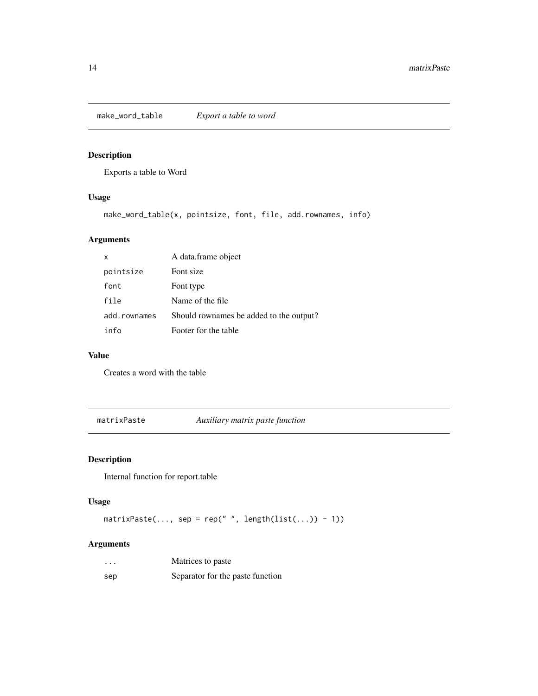<span id="page-13-0"></span>make\_word\_table *Export a table to word*

## Description

Exports a table to Word

## Usage

```
make_word_table(x, pointsize, font, file, add.rownames, info)
```
## Arguments

| x            | A data.frame object                     |
|--------------|-----------------------------------------|
| pointsize    | Font size                               |
| font         | Font type                               |
| file         | Name of the file                        |
| add.rownames | Should rownames be added to the output? |
| info         | Footer for the table                    |

#### Value

Creates a word with the table

matrixPaste *Auxiliary matrix paste function*

## Description

Internal function for report.table

## Usage

```
matrixPaste(..., sep = rep(" ", length(list(...)) - 1))
```

| $\cdots$ | Matrices to paste                |
|----------|----------------------------------|
| sep      | Separator for the paste function |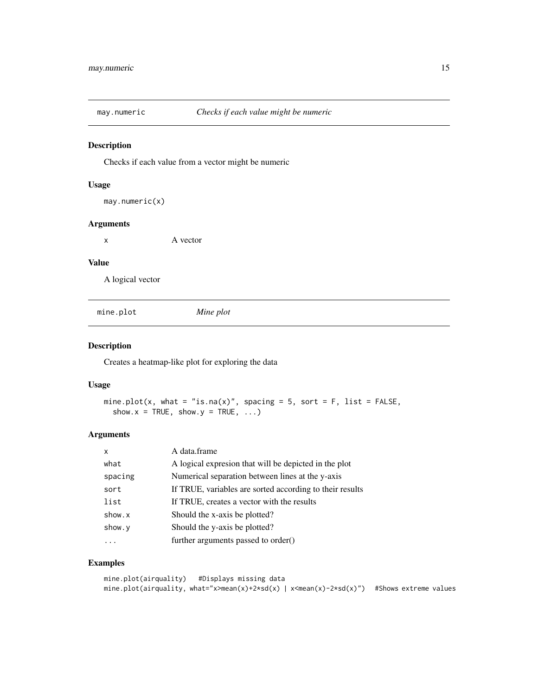<span id="page-14-0"></span>

Checks if each value from a vector might be numeric

## Usage

```
may.numeric(x)
```
#### Arguments

x A vector

#### Value

A logical vector

mine.plot *Mine plot*

## Description

Creates a heatmap-like plot for exploring the data

#### Usage

```
mine.plot(x, what = "is.na(x)", spacing = 5, sort = F, list = FALSE,
  show.x = TRUE, show.y = TRUE, ...
```
## Arguments

| $\boldsymbol{\mathsf{x}}$ | A data.frame                                             |
|---------------------------|----------------------------------------------------------|
| what                      | A logical expression that will be depicted in the plot   |
| spacing                   | Numerical separation between lines at the y-axis         |
| sort                      | If TRUE, variables are sorted according to their results |
| list                      | If TRUE, creates a vector with the results               |
| show.x                    | Should the x-axis be plotted?                            |
| show.y                    | Should the y-axis be plotted?                            |
|                           | further arguments passed to order()                      |

## Examples

```
mine.plot(airquality) #Displays missing data
mine.plot(airquality, what="x>mean(x)+2*sd(x) | x<mean(x)-2*sd(x)") #Shows extreme values
```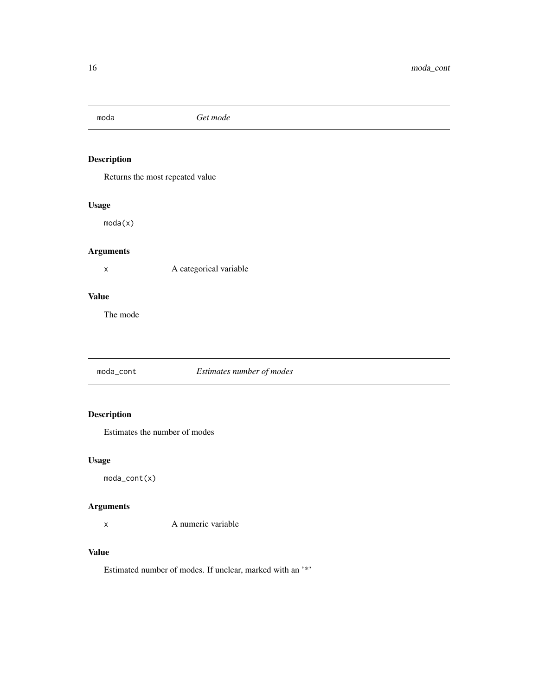<span id="page-15-0"></span>

Returns the most repeated value

## Usage

moda(x)

## Arguments

x A categorical variable

## Value

The mode

moda\_cont *Estimates number of modes*

## Description

Estimates the number of modes

## Usage

moda\_cont(x)

## Arguments

x A numeric variable

## Value

Estimated number of modes. If unclear, marked with an '\*'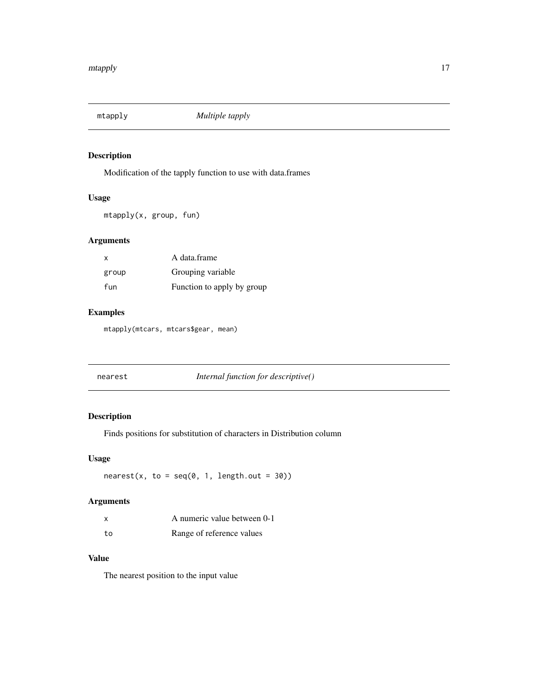<span id="page-16-0"></span>

Modification of the tapply function to use with data.frames

## Usage

mtapply(x, group, fun)

## Arguments

| X     | A data.frame               |
|-------|----------------------------|
| group | Grouping variable          |
| fun   | Function to apply by group |

## Examples

mtapply(mtcars, mtcars\$gear, mean)

nearest *Internal function for descriptive()*

## Description

Finds positions for substitution of characters in Distribution column

#### Usage

 $nearest(x, to = seq(0, 1, length.out = 30))$ 

## Arguments

|    | A numeric value between 0-1 |
|----|-----------------------------|
| to | Range of reference values   |

#### Value

The nearest position to the input value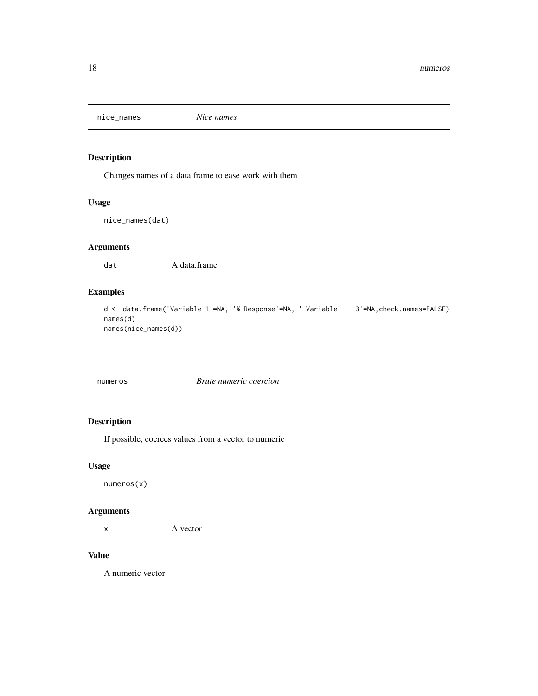<span id="page-17-0"></span>

Changes names of a data frame to ease work with them

## Usage

nice\_names(dat)

## Arguments

dat A data.frame

## Examples

```
d <- data.frame('Variable 1'=NA, '% Response'=NA, ' Variable 3'=NA,check.names=FALSE)
names(d)
names(nice_names(d))
```

| <b>Brute numeric coercion</b><br>numeros |  |
|------------------------------------------|--|

## Description

If possible, coerces values from a vector to numeric

## Usage

numeros(x)

## Arguments

x A vector

## Value

A numeric vector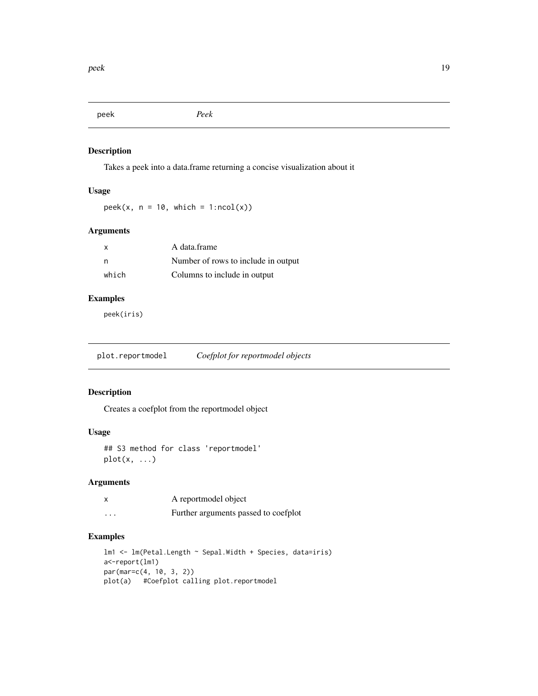<span id="page-18-0"></span>peek *Peek*

## Description

Takes a peek into a data.frame returning a concise visualization about it

## Usage

 $peek(x, n = 10, which = 1:ncol(x))$ 

## Arguments

| $\mathsf{x}$ | A data.frame                        |
|--------------|-------------------------------------|
| n            | Number of rows to include in output |
| which        | Columns to include in output        |

## Examples

peek(iris)

plot.reportmodel *Coefplot for reportmodel objects*

## Description

Creates a coefplot from the reportmodel object

## Usage

```
## S3 method for class 'reportmodel'
plot(x, \ldots)
```
#### Arguments

| x | A reportmodel object                 |
|---|--------------------------------------|
| . | Further arguments passed to coefplot |

## Examples

```
lm1 <- lm(Petal.Length ~ Sepal.Width + Species, data=iris)
a<-report(lm1)
par(mar=c(4, 10, 3, 2))
plot(a) #Coefplot calling plot.reportmodel
```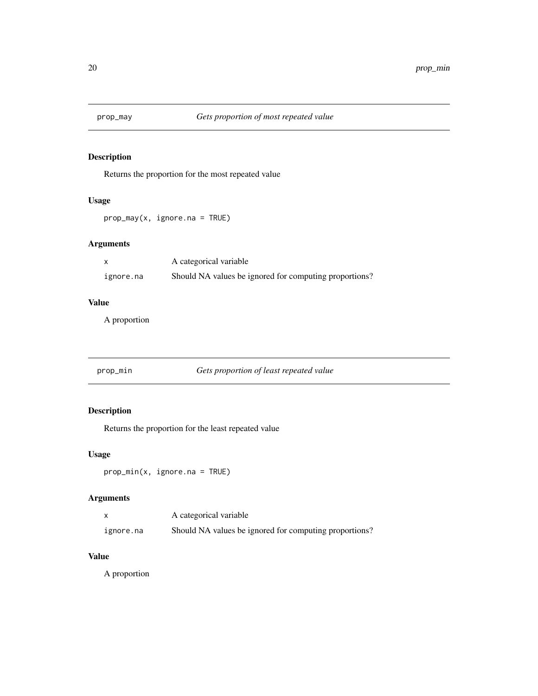<span id="page-19-0"></span>

Returns the proportion for the most repeated value

## Usage

prop\_may(x, ignore.na = TRUE)

## Arguments

|           | A categorical variable                                 |
|-----------|--------------------------------------------------------|
| ignore.na | Should NA values be ignored for computing proportions? |

## Value

A proportion

prop\_min *Gets proportion of least repeated value*

## Description

Returns the proportion for the least repeated value

## Usage

```
prop_min(x, ignore.na = TRUE)
```
## Arguments

|           | A categorical variable                                 |
|-----------|--------------------------------------------------------|
| ignore.na | Should NA values be ignored for computing proportions? |

## Value

A proportion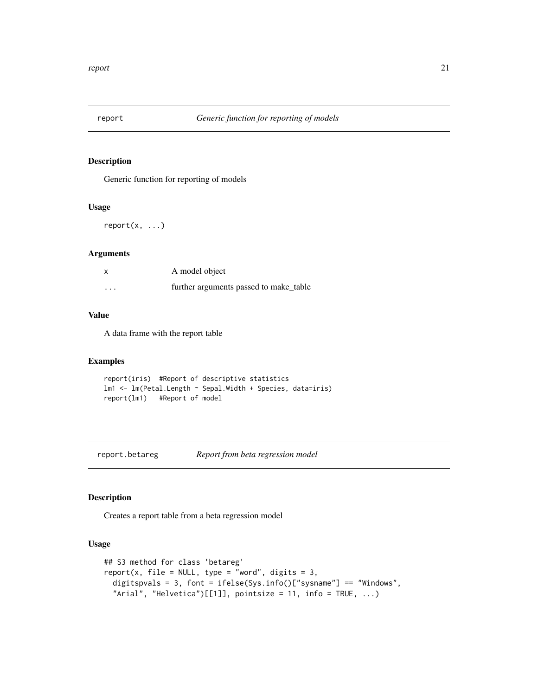<span id="page-20-0"></span>

Generic function for reporting of models

#### Usage

 $report(x, \ldots)$ 

## Arguments

| x        | A model object                         |
|----------|----------------------------------------|
| $\cdots$ | further arguments passed to make table |

## Value

A data frame with the report table

## Examples

```
report(iris) #Report of descriptive statistics
lm1 <- lm(Petal.Length ~ Sepal.Width + Species, data=iris)
report(lm1) #Report of model
```
report.betareg *Report from beta regression model*

## Description

Creates a report table from a beta regression model

## Usage

```
## S3 method for class 'betareg'
report(x, file = NULL, type = "word", digits = 3,
  digitspvals = 3, font = ifelse(Sys.info()["sysname"] == "Windows",
  "Arial", "Helvetica")[[1]], pointsize = 11, info = TRUE, \ldots)
```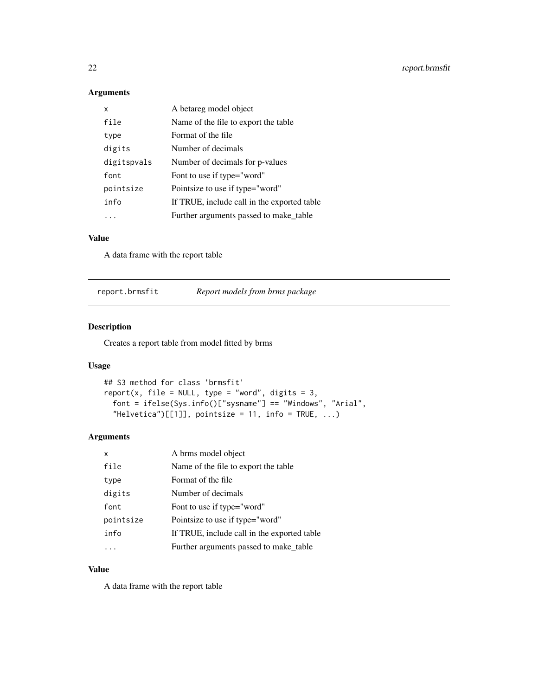## Arguments

| x           | A betareg model object                      |
|-------------|---------------------------------------------|
| file        | Name of the file to export the table.       |
| type        | Format of the file                          |
| digits      | Number of decimals                          |
| digitspvals | Number of decimals for p-values             |
| font        | Font to use if type="word"                  |
| pointsize   | Pointsize to use if type="word"             |
| info        | If TRUE, include call in the exported table |
|             | Further arguments passed to make table      |

## Value

A data frame with the report table

report.brmsfit *Report models from brms package*

## Description

Creates a report table from model fitted by brms

#### Usage

```
## S3 method for class 'brmsfit'
report(x, file = NULL, type = "word", digits = 3,font = ifelse(Sys.info()["sysname"] == "Windows", "Arial",
  "Helvetica")[[1]], pointsize = 11, info = TRUE, \ldots)
```
## Arguments

| x         | A brms model object                         |
|-----------|---------------------------------------------|
| file      | Name of the file to export the table.       |
| type      | Format of the file                          |
| digits    | Number of decimals                          |
| font      | Font to use if type="word"                  |
| pointsize | Pointsize to use if type="word"             |
| info      | If TRUE, include call in the exported table |
|           | Further arguments passed to make_table      |

## Value

A data frame with the report table

<span id="page-21-0"></span>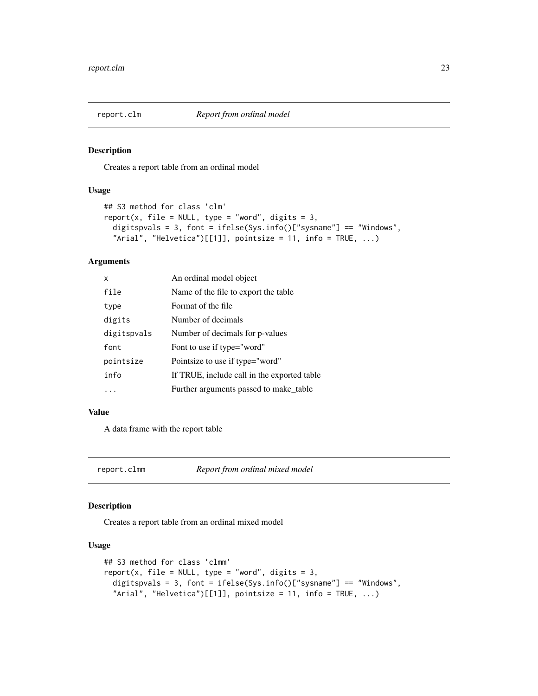<span id="page-22-0"></span>

Creates a report table from an ordinal model

#### Usage

```
## S3 method for class 'clm'
report(x, file = NULL, type = "word", digits = 3,
 digitspvals = 3, font = ifelse(Sys.info()["sysname"] == "Windows",
  "Arial", "Helvetica")[1]], pointsize = 11, info = TRUE, ...)
```
#### Arguments

| x           | An ordinal model object                     |
|-------------|---------------------------------------------|
| file        | Name of the file to export the table.       |
| type        | Format of the file                          |
| digits      | Number of decimals                          |
| digitspvals | Number of decimals for p-values             |
| font        | Font to use if type="word"                  |
| pointsize   | Pointsize to use if type="word"             |
| info        | If TRUE, include call in the exported table |
|             | Further arguments passed to make table      |

#### Value

A data frame with the report table

report.clmm *Report from ordinal mixed model*

#### Description

Creates a report table from an ordinal mixed model

#### Usage

```
## S3 method for class 'clmm'
report(x, file = NULL, type = "word", digits = 3,
  digitspvals = 3, font = ifelse(Sys.info()["sysname"] == "Windows",
  "Arial", "Helvetica")[1]], pointsize = 11, info = TRUE, ...)
```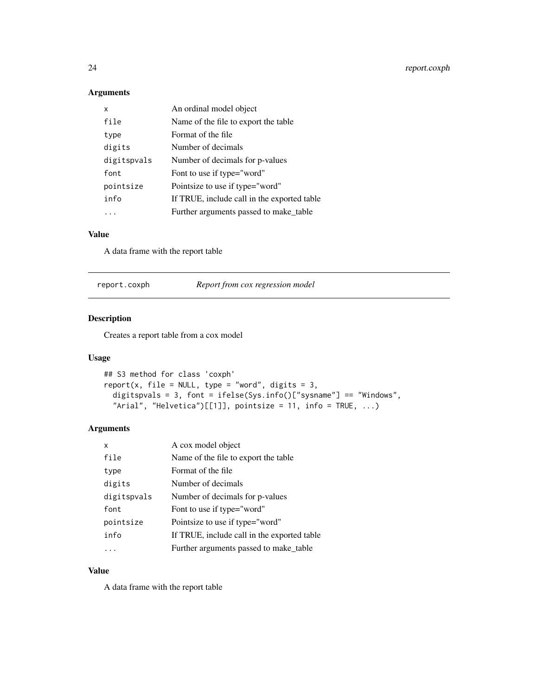## Arguments

| x           | An ordinal model object                     |
|-------------|---------------------------------------------|
| file        | Name of the file to export the table        |
| type        | Format of the file                          |
| digits      | Number of decimals                          |
| digitspvals | Number of decimals for p-values             |
| font        | Font to use if type="word"                  |
| pointsize   | Pointsize to use if type="word"             |
| info        | If TRUE, include call in the exported table |
|             | Further arguments passed to make_table      |

#### Value

A data frame with the report table

| report.coxph | Report from cox regression model |  |
|--------------|----------------------------------|--|
|              |                                  |  |

## Description

Creates a report table from a cox model

## Usage

```
## S3 method for class 'coxph'
report(x, file = NULL, type = "word", digits = 3,
  digitspvals = 3, font = ifelse(Sys.info()["sysname"] == "Windows",
  "Arial", "Helvetica")[[1]], pointsize = 11, info = TRUE, \ldots)
```
#### Arguments

| x           | A cox model object                          |
|-------------|---------------------------------------------|
| file        | Name of the file to export the table        |
| type        | Format of the file                          |
| digits      | Number of decimals                          |
| digitspvals | Number of decimals for p-values             |
| font        | Font to use if type="word"                  |
| pointsize   | Pointsize to use if type="word"             |
| info        | If TRUE, include call in the exported table |
|             | Further arguments passed to make table      |
|             |                                             |

## Value

A data frame with the report table

<span id="page-23-0"></span>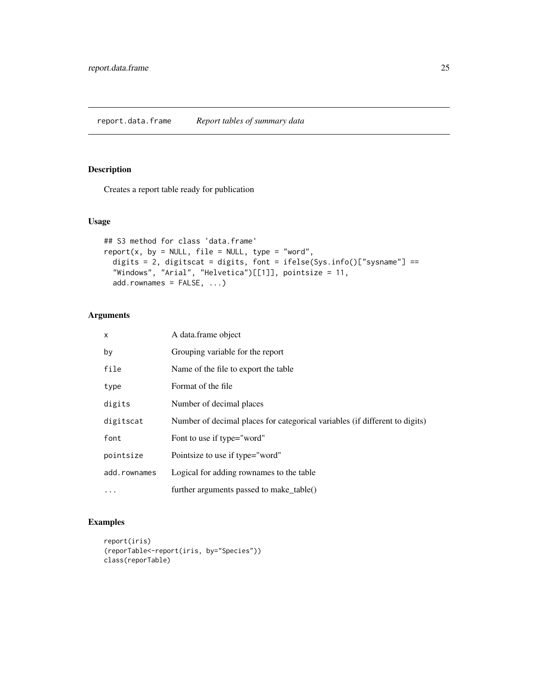<span id="page-24-0"></span>Creates a report table ready for publication

## Usage

```
## S3 method for class 'data.frame'
report(x, by = NULL, file = NULL, type = "word",digits = 2, digitscat = digits, font = ifelse(Sys.info()["sysname"] ==
  "Windows", "Arial", "Helvetica")[[1]], pointsize = 11,
  add.rownames = FALSE, ...)
```
## Arguments

| $\mathsf{x}$ | A data.frame object                                                         |
|--------------|-----------------------------------------------------------------------------|
| by           | Grouping variable for the report                                            |
| file         | Name of the file to export the table.                                       |
| type         | Format of the file                                                          |
| digits       | Number of decimal places                                                    |
| digitscat    | Number of decimal places for categorical variables (if different to digits) |
| font         | Font to use if type="word"                                                  |
| pointsize    | Pointsize to use if type="word"                                             |
| add.rownames | Logical for adding rownames to the table                                    |
|              | further arguments passed to make_table()                                    |

## Examples

```
report(iris)
(reporTable<-report(iris, by="Species"))
class(reporTable)
```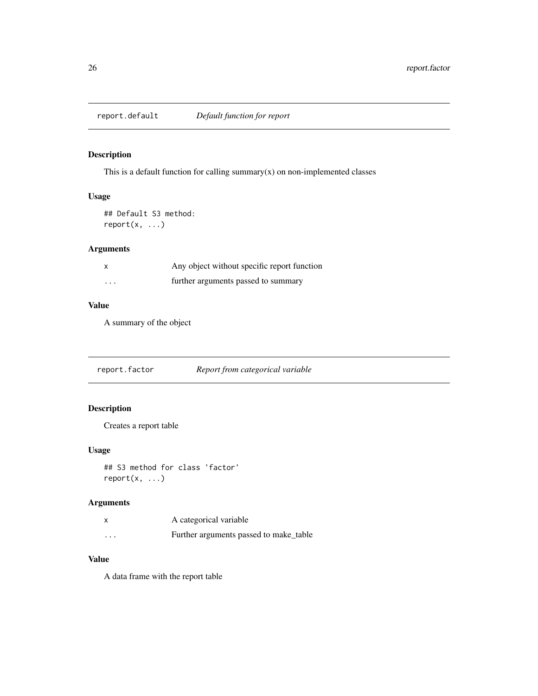<span id="page-25-0"></span>

This is a default function for calling summary $(x)$  on non-implemented classes

#### Usage

## Default S3 method:  $report(x, \ldots)$ 

## Arguments

|          | Any object without specific report function |
|----------|---------------------------------------------|
| $\cdots$ | further arguments passed to summary         |

## Value

A summary of the object

report.factor *Report from categorical variable*

## Description

Creates a report table

#### Usage

```
## S3 method for class 'factor'
report(x, ...)
```
## Arguments

|                         | A categorical variable                 |
|-------------------------|----------------------------------------|
| $\cdot$ $\cdot$ $\cdot$ | Further arguments passed to make_table |

## Value

A data frame with the report table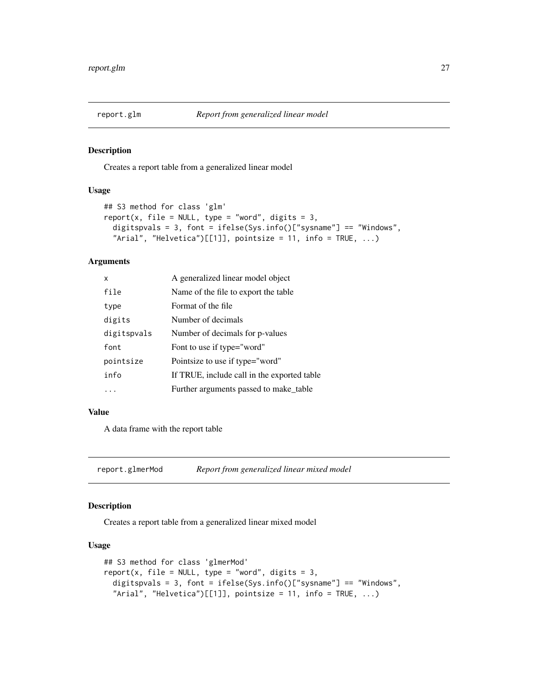<span id="page-26-0"></span>

Creates a report table from a generalized linear model

#### Usage

```
## S3 method for class 'glm'
report(x, file = NULL, type = "word", digits = 3,
 digitspvals = 3, font = ifelse(Sys.info()["sysname"] == "Windows",
  "Arial", "Helvetica")[1]], pointsize = 11, info = TRUE, ...)
```
#### Arguments

| x           | A generalized linear model object           |
|-------------|---------------------------------------------|
| file        | Name of the file to export the table.       |
| type        | Format of the file                          |
| digits      | Number of decimals                          |
| digitspvals | Number of decimals for p-values             |
| font        | Font to use if type="word"                  |
| pointsize   | Pointsize to use if type="word"             |
| info        | If TRUE, include call in the exported table |
|             | Further arguments passed to make table      |

#### Value

A data frame with the report table

report.glmerMod *Report from generalized linear mixed model*

#### Description

Creates a report table from a generalized linear mixed model

#### Usage

```
## S3 method for class 'glmerMod'
report(x, file = NULL, type = "word", digits = 3,
  digitspvals = 3, font = ifelse(Sys.info()["sysname"] == "Windows",
  "Arial", "Helvetica")[1]], pointsize = 11, info = TRUE, ...)
```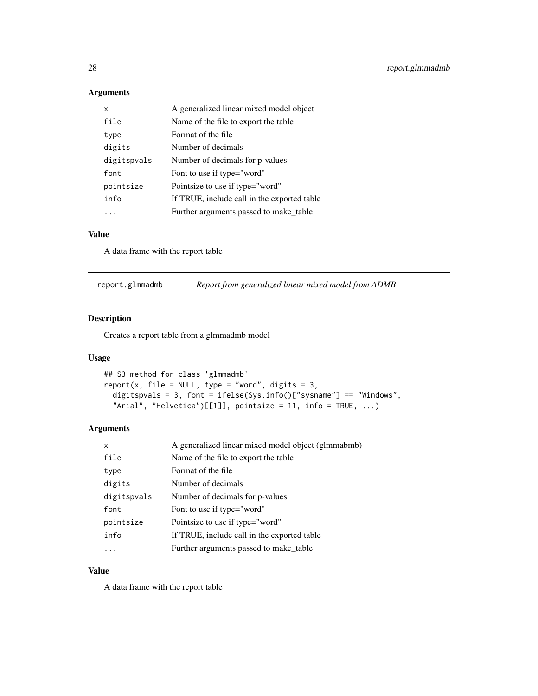## Arguments

| x           | A generalized linear mixed model object     |
|-------------|---------------------------------------------|
| file        | Name of the file to export the table        |
| type        | Format of the file                          |
| digits      | Number of decimals                          |
| digitspvals | Number of decimals for p-values             |
| font        | Font to use if type="word"                  |
| pointsize   | Pointsize to use if type="word"             |
| info        | If TRUE, include call in the exported table |
|             | Further arguments passed to make_table      |

## Value

A data frame with the report table

| report.glmmadmb | Report from generalized linear mixed model from ADMB |  |
|-----------------|------------------------------------------------------|--|
|                 |                                                      |  |

## Description

Creates a report table from a glmmadmb model

## Usage

```
## S3 method for class 'glmmadmb'
report(x, file = NULL, type = "word", digits = 3,
  digitspvals = 3, font = ifelse(Sys.info()["sysname"] == "Windows",
  "Arial", "Helvetica")[[1]], pointsize = 11, info = TRUE, \ldots)
```
#### Arguments

| X           | A generalized linear mixed model object (glmmabmb) |
|-------------|----------------------------------------------------|
| file        | Name of the file to export the table               |
| type        | Format of the file                                 |
| digits      | Number of decimals                                 |
| digitspvals | Number of decimals for p-values                    |
| font        | Font to use if type="word"                         |
| pointsize   | Pointsize to use if type="word"                    |
| info        | If TRUE, include call in the exported table        |
|             | Further arguments passed to make_table             |

## Value

A data frame with the report table

<span id="page-27-0"></span>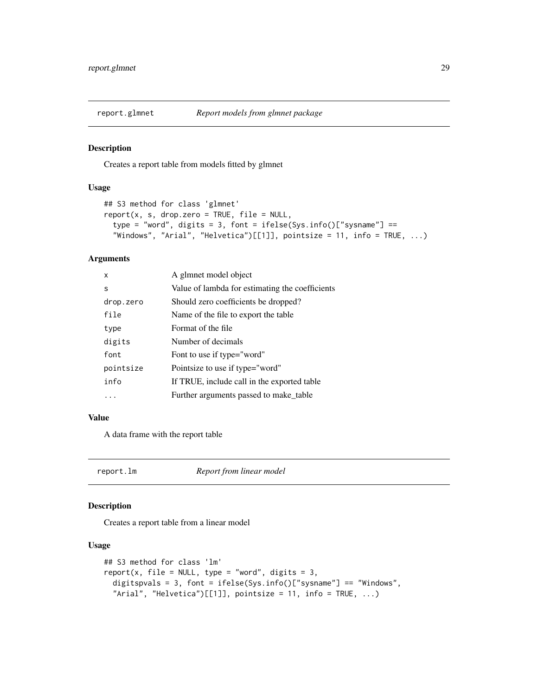<span id="page-28-0"></span>

Creates a report table from models fitted by glmnet

#### Usage

```
## S3 method for class 'glmnet'
report(x, s, drop.zero = TRUE, file = NULL,type = "word", digits = 3, font = ifelse(Sys.info()["sysname"] ==
  "Windows", "Arial", "Helvetica")[[1]], pointsize = 11, info = TRUE, \ldots)
```
## Arguments

| x         | A glmnet model object                           |
|-----------|-------------------------------------------------|
| S         | Value of lambda for estimating the coefficients |
| drop.zero | Should zero coefficients be dropped?            |
| file      | Name of the file to export the table.           |
| type      | Format of the file                              |
| digits    | Number of decimals                              |
| font      | Font to use if type="word"                      |
| pointsize | Pointsize to use if type="word"                 |
| info      | If TRUE, include call in the exported table     |
|           | Further arguments passed to make_table          |

#### Value

A data frame with the report table

report.lm *Report from linear model*

#### Description

Creates a report table from a linear model

#### Usage

```
## S3 method for class 'lm'
report(x, file = NULL, type = "word", digits = 3,
  digitspvals = 3, font = ifelse(Sys.info()["sysname"] == "Windows",
  "Arial", "Helvetica")[[1]], pointsize = 11, info = TRUE, \ldots)
```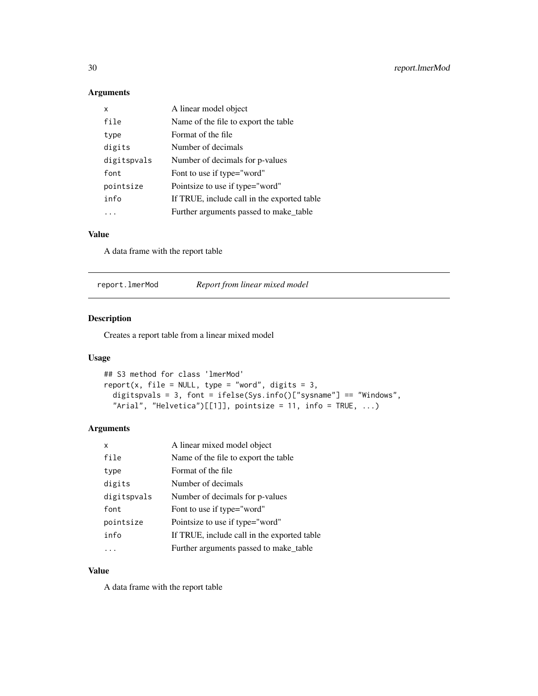## Arguments

| x           | A linear model object                       |
|-------------|---------------------------------------------|
| file        | Name of the file to export the table.       |
| type        | Format of the file                          |
| digits      | Number of decimals                          |
| digitspvals | Number of decimals for p-values             |
| font        | Font to use if type="word"                  |
| pointsize   | Pointsize to use if type="word"             |
| info        | If TRUE, include call in the exported table |
|             | Further arguments passed to make table      |

## Value

A data frame with the report table

| Report from linear mixed model<br>report.lmerMod |
|--------------------------------------------------|
|--------------------------------------------------|

## Description

Creates a report table from a linear mixed model

## Usage

```
## S3 method for class 'lmerMod'
report(x, file = NULL, type = "word", digits = 3,
  digitspvals = 3, font = ifelse(Sys.info()["sysname"] == "Windows",
  "Arial", "Helvetica")[[1]], pointsize = 11, info = TRUE, \ldots)
```
#### Arguments

| x           | A linear mixed model object                 |
|-------------|---------------------------------------------|
| file        | Name of the file to export the table        |
| type        | Format of the file                          |
| digits      | Number of decimals                          |
| digitspvals | Number of decimals for p-values             |
| font        | Font to use if type="word"                  |
| pointsize   | Pointsize to use if type="word"             |
| info        | If TRUE, include call in the exported table |
|             | Further arguments passed to make_table      |

## Value

A data frame with the report table

<span id="page-29-0"></span>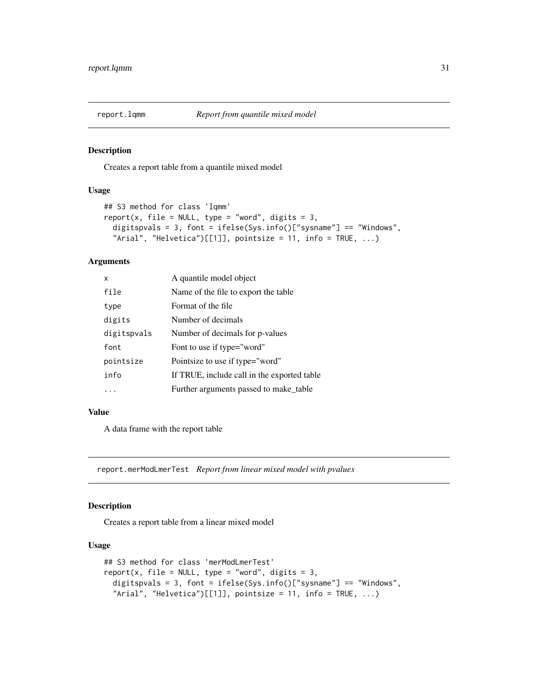<span id="page-30-0"></span>

Creates a report table from a quantile mixed model

#### Usage

```
## S3 method for class 'lqmm'
report(x, file = NULL, type = "word", digits = 3,
 digitspvals = 3, font = ifelse(Sys.info()["sysname"] == "Windows",
  "Arial", "Helvetica")[1]], pointsize = 11, info = TRUE, ...)
```
#### Arguments

| x           | A quantile model object                     |
|-------------|---------------------------------------------|
| file        | Name of the file to export the table.       |
| type        | Format of the file                          |
| digits      | Number of decimals                          |
| digitspvals | Number of decimals for p-values             |
| font        | Font to use if type="word"                  |
| pointsize   | Pointsize to use if type="word"             |
| info        | If TRUE, include call in the exported table |
|             | Further arguments passed to make table      |

#### Value

A data frame with the report table

report.merModLmerTest *Report from linear mixed model with pvalues*

#### Description

Creates a report table from a linear mixed model

#### Usage

```
## S3 method for class 'merModLmerTest'
report(x, file = NULL, type = "word", digits = 3,
  digitspvals = 3, font = ifelse(Sys.info()["sysname"] == "Windows",
  "Arial", "Helvetica")[1]], pointsize = 11, info = TRUE, ...)
```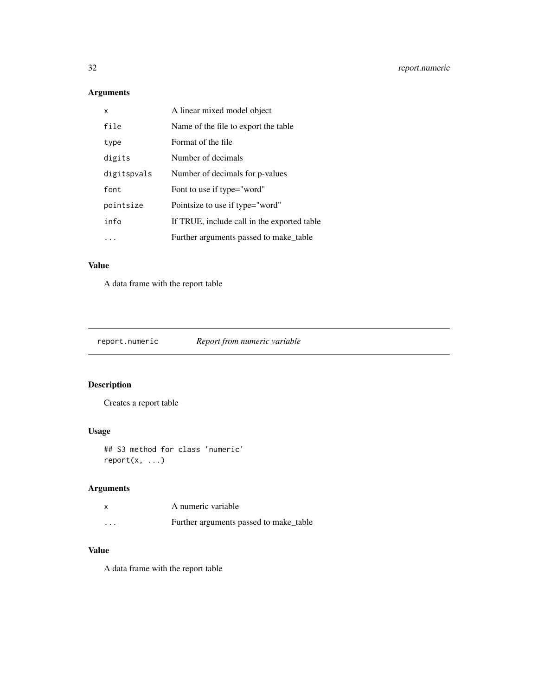## <span id="page-31-0"></span>Arguments

| x           | A linear mixed model object                 |
|-------------|---------------------------------------------|
| file        | Name of the file to export the table        |
| type        | Format of the file                          |
| digits      | Number of decimals                          |
| digitspvals | Number of decimals for p-values             |
| font        | Font to use if type="word"                  |
| pointsize   | Pointsize to use if type="word"             |
| info        | If TRUE, include call in the exported table |
|             | Further arguments passed to make_table      |

## Value

A data frame with the report table

report.numeric *Report from numeric variable*

## Description

Creates a report table

## Usage

## S3 method for class 'numeric' report(x, ...)

## Arguments

|          | A numeric variable                     |
|----------|----------------------------------------|
| $\cdots$ | Further arguments passed to make_table |

## Value

A data frame with the report table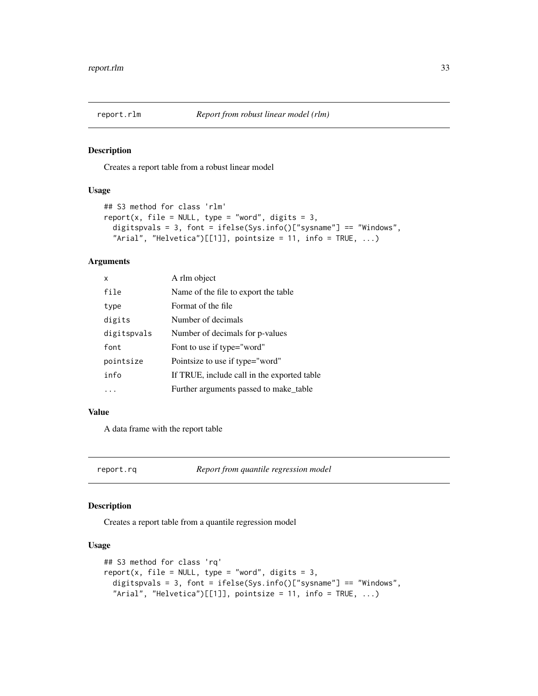<span id="page-32-0"></span>

Creates a report table from a robust linear model

#### Usage

```
## S3 method for class 'rlm'
report(x, file = NULL, type = "word", digits = 3,
 digitspvals = 3, font = ifelse(Sys.info()["sysname"] == "Windows",
  "Arial", "Helvetica")[1]], pointsize = 11, info = TRUE, ...)
```
#### Arguments

| x           | A rlm object                                |
|-------------|---------------------------------------------|
| file        | Name of the file to export the table.       |
| type        | Format of the file                          |
| digits      | Number of decimals                          |
| digitspvals | Number of decimals for p-values             |
| font        | Font to use if type="word"                  |
| pointsize   | Pointsize to use if type="word"             |
| info        | If TRUE, include call in the exported table |
|             | Further arguments passed to make_table      |

#### Value

A data frame with the report table

report.rq *Report from quantile regression model*

#### Description

Creates a report table from a quantile regression model

#### Usage

```
## S3 method for class 'rq'
report(x, file = NULL, type = "word", digits = 3,
  digitspvals = 3, font = ifelse(Sys.info()["sysname"] == "Windows",
  "Arial", "Helvetica")[[1]], pointsize = 11, info = TRUE, \ldots)
```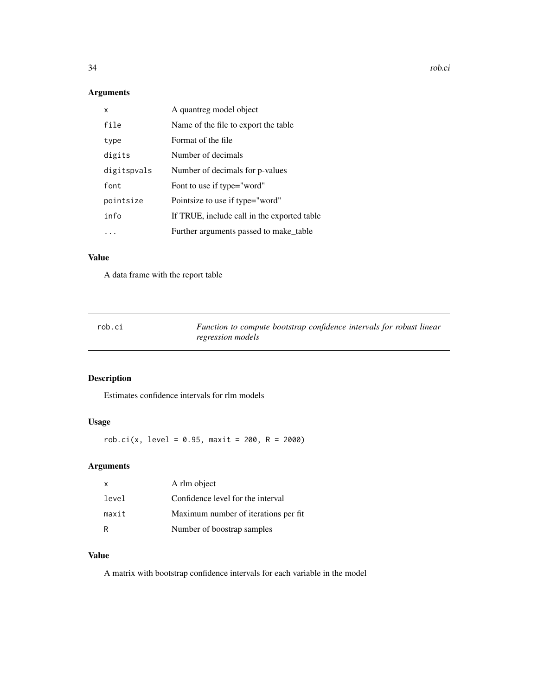34 rob.ci

## Arguments

| x           | A quantreg model object                     |
|-------------|---------------------------------------------|
| file        | Name of the file to export the table.       |
| type        | Format of the file                          |
| digits      | Number of decimals                          |
| digitspvals | Number of decimals for p-values             |
| font        | Font to use if type="word"                  |
| pointsize   | Pointsize to use if type="word"             |
| info        | If TRUE, include call in the exported table |
|             | Further arguments passed to make_table      |

## Value

A data frame with the report table

| rob.ci | Function to compute bootstrap confidence intervals for robust linear |  |  |  |
|--------|----------------------------------------------------------------------|--|--|--|
|        | regression models                                                    |  |  |  |

## Description

Estimates confidence intervals for rlm models

## Usage

 $rob.ci(x, level = 0.95, maxit = 200, R = 2000)$ 

## Arguments

| X     | A rlm object                          |
|-------|---------------------------------------|
| level | Confidence level for the interval     |
| maxit | Maximum number of iterations per fit. |
| R     | Number of boostrap samples            |

## Value

A matrix with bootstrap confidence intervals for each variable in the model

<span id="page-33-0"></span>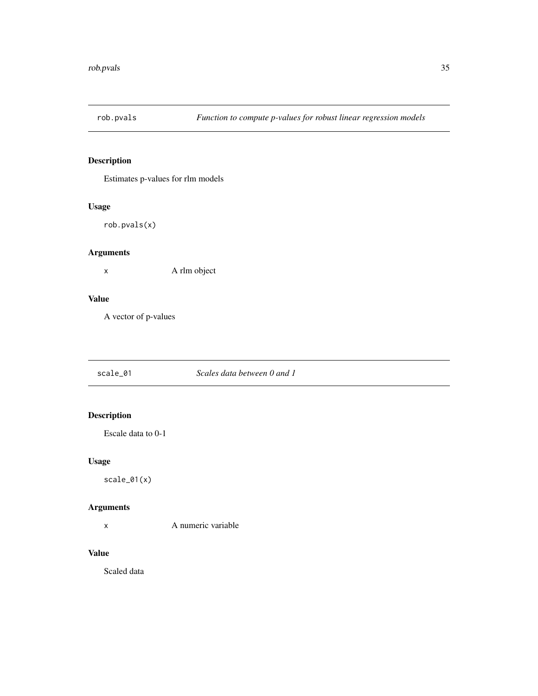<span id="page-34-0"></span>

Estimates p-values for rlm models

## Usage

rob.pvals(x)

## Arguments

x A rlm object

#### Value

A vector of p-values

scale\_01 *Scales data between 0 and 1*

## Description

Escale data to 0-1

## Usage

scale\_01(x)

## Arguments

x A numeric variable

## Value

Scaled data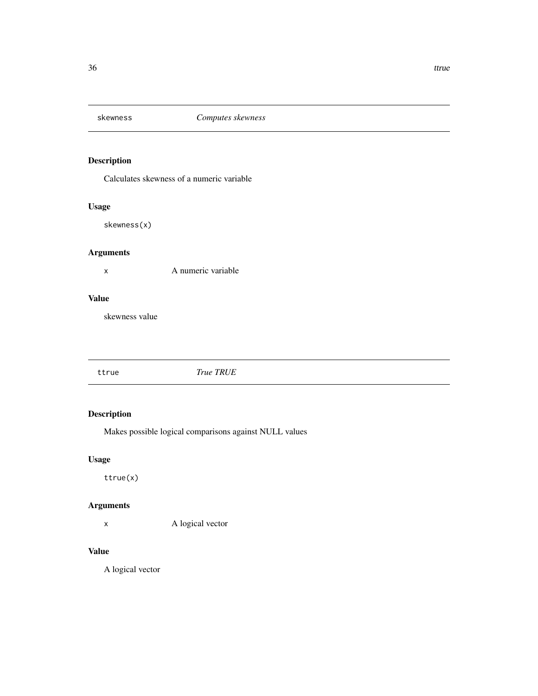<span id="page-35-0"></span>

Calculates skewness of a numeric variable

## Usage

skewness(x)

## Arguments

x A numeric variable

## Value

skewness value

ttrue *True TRUE*

## Description

Makes possible logical comparisons against NULL values

## Usage

ttrue(x)

## Arguments

x A logical vector

## Value

A logical vector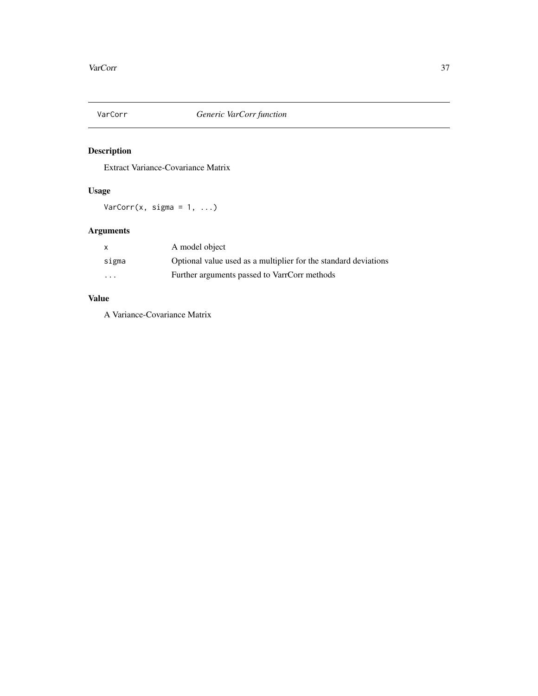<span id="page-36-0"></span>

Extract Variance-Covariance Matrix

## Usage

VarCorr $(x, \text{sigma} = 1, \ldots)$ 

## Arguments

|                         | A model object                                                  |
|-------------------------|-----------------------------------------------------------------|
| sigma                   | Optional value used as a multiplier for the standard deviations |
| $\cdot$ $\cdot$ $\cdot$ | Further arguments passed to VarrCorr methods                    |

## Value

A Variance-Covariance Matrix